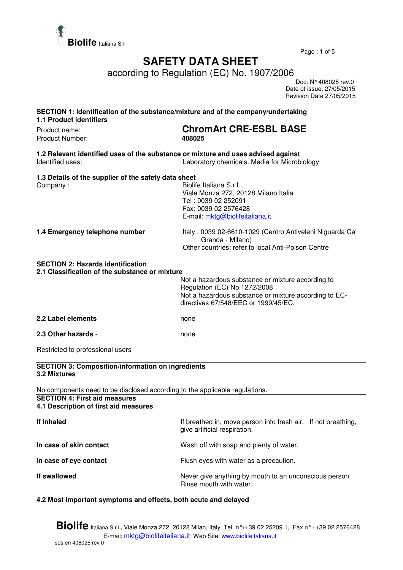

Page : 1 of 5

## **SAFETY DATA SHEET**

according to Regulation (EC) No. 1907/2006

 Doc. N° 408025 rev.0 Date of issue: 27/05/2015 Revision Date 27/05/2015

| SECTION 1: Identification of the substance/mixture and of the company/undertaking<br><b>1.1 Product identifiers</b>                                   |                                                                                                                                                                                    |  |
|-------------------------------------------------------------------------------------------------------------------------------------------------------|------------------------------------------------------------------------------------------------------------------------------------------------------------------------------------|--|
| Product name:<br>Product Number:                                                                                                                      | <b>ChromArt CRE-ESBL BASE</b><br>408025                                                                                                                                            |  |
| 1.2 Relevant identified uses of the substance or mixture and uses advised against<br>Laboratory chemicals. Media for Microbiology<br>Identified uses: |                                                                                                                                                                                    |  |
| 1.3 Details of the supplier of the safety data sheet<br>Company:                                                                                      | Biolife Italiana S.r.l.<br>Viale Monza 272, 20128 Milano Italia<br>Tel: 0039 02 252091<br>Fax: 0039 02 2576428<br>E-mail: mktg@biolifeitaliana.it                                  |  |
| 1.4 Emergency telephone number                                                                                                                        | Italy: 0039 02-6610-1029 (Centro Antiveleni Niguarda Ca'<br>Granda - Milano)<br>Other countries: refer to local Anti-Poison Centre                                                 |  |
| <b>SECTION 2: Hazards identification</b>                                                                                                              |                                                                                                                                                                                    |  |
| 2.1 Classification of the substance or mixture                                                                                                        | Not a hazardous substance or mixture according to<br>Regulation (EC) No 1272/2008<br>Not a hazardous substance or mixture according to EC-<br>directives 67/548/EEC or 1999/45/EC. |  |
| 2.2 Label elements                                                                                                                                    | none                                                                                                                                                                               |  |
| 2.3 Other hazards -                                                                                                                                   | none                                                                                                                                                                               |  |
| Restricted to professional users                                                                                                                      |                                                                                                                                                                                    |  |
| <b>SECTION 3: Composition/information on ingredients</b><br>3.2 Mixtures                                                                              |                                                                                                                                                                                    |  |
| No components need to be disclosed according to the applicable regulations.                                                                           |                                                                                                                                                                                    |  |
| <b>SECTION 4: First aid measures</b><br>4.1 Description of first aid measures                                                                         |                                                                                                                                                                                    |  |
| If inhaled                                                                                                                                            | If breathed in, move person into fresh air. If not breathing,<br>give artificial respiration.                                                                                      |  |
| In case of skin contact                                                                                                                               | Wash off with soap and plenty of water.                                                                                                                                            |  |
| In case of eye contact                                                                                                                                | Flush eyes with water as a precaution.                                                                                                                                             |  |
| If swallowed                                                                                                                                          | Never give anything by mouth to an unconscious person.<br>Rinse mouth with water.                                                                                                  |  |
|                                                                                                                                                       |                                                                                                                                                                                    |  |

## **4.2 Most important symptoms and effects, both acute and delayed**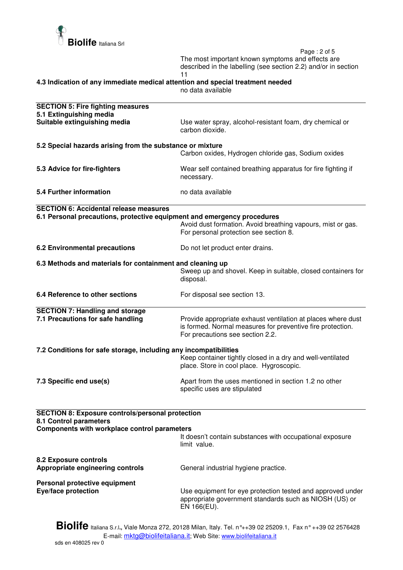

 Page : 2 of 5 The most important known symptoms and effects are described in the labelling (see section 2.2) and/or in section 11

**4.3 Indication of any immediate medical attention and special treatment needed** 

no data available

| <b>SECTION 5: Fire fighting measures</b><br>5.1 Extinguishing media                                                                      |                                                                                                                                                                |  |
|------------------------------------------------------------------------------------------------------------------------------------------|----------------------------------------------------------------------------------------------------------------------------------------------------------------|--|
| Suitable extinguishing media                                                                                                             | Use water spray, alcohol-resistant foam, dry chemical or<br>carbon dioxide.                                                                                    |  |
| 5.2 Special hazards arising from the substance or mixture                                                                                |                                                                                                                                                                |  |
|                                                                                                                                          | Carbon oxides, Hydrogen chloride gas, Sodium oxides                                                                                                            |  |
| 5.3 Advice for fire-fighters                                                                                                             | Wear self contained breathing apparatus for fire fighting if<br>necessary.                                                                                     |  |
| 5.4 Further information                                                                                                                  | no data available                                                                                                                                              |  |
| <b>SECTION 6: Accidental release measures</b>                                                                                            |                                                                                                                                                                |  |
| 6.1 Personal precautions, protective equipment and emergency procedures                                                                  | Avoid dust formation. Avoid breathing vapours, mist or gas.<br>For personal protection see section 8.                                                          |  |
| <b>6.2 Environmental precautions</b>                                                                                                     | Do not let product enter drains.                                                                                                                               |  |
| 6.3 Methods and materials for containment and cleaning up                                                                                |                                                                                                                                                                |  |
|                                                                                                                                          | Sweep up and shovel. Keep in suitable, closed containers for<br>disposal.                                                                                      |  |
| 6.4 Reference to other sections                                                                                                          | For disposal see section 13.                                                                                                                                   |  |
| <b>SECTION 7: Handling and storage</b>                                                                                                   |                                                                                                                                                                |  |
| 7.1 Precautions for safe handling                                                                                                        | Provide appropriate exhaust ventilation at places where dust<br>is formed. Normal measures for preventive fire protection.<br>For precautions see section 2.2. |  |
| 7.2 Conditions for safe storage, including any incompatibilities                                                                         |                                                                                                                                                                |  |
|                                                                                                                                          | Keep container tightly closed in a dry and well-ventilated<br>place. Store in cool place. Hygroscopic.                                                         |  |
| 7.3 Specific end use(s)                                                                                                                  | Apart from the uses mentioned in section 1.2 no other<br>specific uses are stipulated                                                                          |  |
|                                                                                                                                          |                                                                                                                                                                |  |
| <b>SECTION 8: Exposure controls/personal protection</b><br>8.1 Control parameters<br><b>Components with workplace control parameters</b> |                                                                                                                                                                |  |
|                                                                                                                                          | It doesn't contain substances with occupational exposure<br>limit value.                                                                                       |  |
| <b>8.2 Exposure controls</b><br>Appropriate engineering controls                                                                         | General industrial hygiene practice.                                                                                                                           |  |
| Personal protective equipment                                                                                                            |                                                                                                                                                                |  |
| Eye/face protection                                                                                                                      | Use equipment for eye protection tested and approved under<br>appropriate government standards such as NIOSH (US) or<br>EN 166(EU).                            |  |
|                                                                                                                                          |                                                                                                                                                                |  |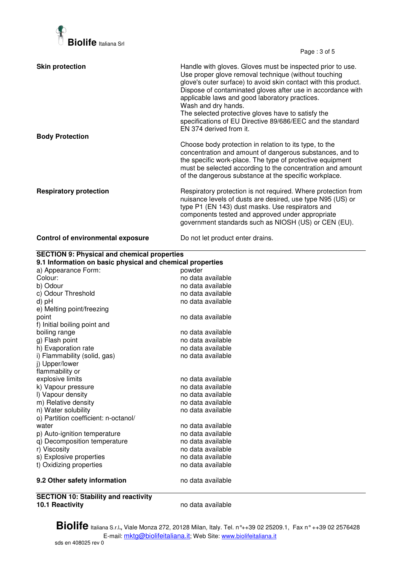

Page : 3 of 5

| <b>Skin protection</b>                   | Handle with gloves. Gloves must be inspected prior to use.<br>Use proper glove removal technique (without touching<br>glove's outer surface) to avoid skin contact with this product.<br>Dispose of contaminated gloves after use in accordance with<br>applicable laws and good laboratory practices.<br>Wash and dry hands.<br>The selected protective gloves have to satisfy the<br>specifications of EU Directive 89/686/EEC and the standard<br>EN 374 derived from it. |
|------------------------------------------|------------------------------------------------------------------------------------------------------------------------------------------------------------------------------------------------------------------------------------------------------------------------------------------------------------------------------------------------------------------------------------------------------------------------------------------------------------------------------|
| <b>Body Protection</b>                   | Choose body protection in relation to its type, to the<br>concentration and amount of dangerous substances, and to<br>the specific work-place. The type of protective equipment<br>must be selected according to the concentration and amount<br>of the dangerous substance at the specific workplace.                                                                                                                                                                       |
| <b>Respiratory protection</b>            | Respiratory protection is not required. Where protection from<br>nuisance levels of dusts are desired, use type N95 (US) or<br>type P1 (EN 143) dust masks. Use respirators and<br>components tested and approved under appropriate<br>government standards such as NIOSH (US) or CEN (EU).                                                                                                                                                                                  |
| <b>Control of environmental exposure</b> | Do not let product enter drains.                                                                                                                                                                                                                                                                                                                                                                                                                                             |

| a) Appearance Form:<br>powder<br>Colour:<br>no data available<br>b) Odour<br>no data available<br>c) Odour Threshold<br>no data available<br>no data available<br>d) pH<br>e) Melting point/freezing<br>no data available<br>point<br>f) Initial boiling point and<br>boiling range<br>no data available<br>g) Flash point<br>no data available<br>h) Evaporation rate<br>no data available<br>i) Flammability (solid, gas)<br>no data available<br>j) Upper/lower<br>flammability or<br>explosive limits<br>no data available<br>k) Vapour pressure<br>no data available<br>I) Vapour density<br>no data available<br>m) Relative density<br>no data available<br>n) Water solubility<br>no data available<br>o) Partition coefficient: n-octanol/<br>no data available<br>water<br>p) Auto-ignition temperature<br>no data available<br>q) Decomposition temperature<br>no data available<br>r) Viscosity<br>no data available<br>s) Explosive properties<br>no data available<br>t) Oxidizing properties<br>no data available | <b>SECTION 9: Physical and chemical properties</b><br>9.1 Information on basic physical and chemical properties |  |  |
|----------------------------------------------------------------------------------------------------------------------------------------------------------------------------------------------------------------------------------------------------------------------------------------------------------------------------------------------------------------------------------------------------------------------------------------------------------------------------------------------------------------------------------------------------------------------------------------------------------------------------------------------------------------------------------------------------------------------------------------------------------------------------------------------------------------------------------------------------------------------------------------------------------------------------------------------------------------------------------------------------------------------------------|-----------------------------------------------------------------------------------------------------------------|--|--|
|                                                                                                                                                                                                                                                                                                                                                                                                                                                                                                                                                                                                                                                                                                                                                                                                                                                                                                                                                                                                                                  |                                                                                                                 |  |  |
|                                                                                                                                                                                                                                                                                                                                                                                                                                                                                                                                                                                                                                                                                                                                                                                                                                                                                                                                                                                                                                  |                                                                                                                 |  |  |
|                                                                                                                                                                                                                                                                                                                                                                                                                                                                                                                                                                                                                                                                                                                                                                                                                                                                                                                                                                                                                                  |                                                                                                                 |  |  |
|                                                                                                                                                                                                                                                                                                                                                                                                                                                                                                                                                                                                                                                                                                                                                                                                                                                                                                                                                                                                                                  |                                                                                                                 |  |  |
|                                                                                                                                                                                                                                                                                                                                                                                                                                                                                                                                                                                                                                                                                                                                                                                                                                                                                                                                                                                                                                  |                                                                                                                 |  |  |
|                                                                                                                                                                                                                                                                                                                                                                                                                                                                                                                                                                                                                                                                                                                                                                                                                                                                                                                                                                                                                                  |                                                                                                                 |  |  |
|                                                                                                                                                                                                                                                                                                                                                                                                                                                                                                                                                                                                                                                                                                                                                                                                                                                                                                                                                                                                                                  |                                                                                                                 |  |  |
|                                                                                                                                                                                                                                                                                                                                                                                                                                                                                                                                                                                                                                                                                                                                                                                                                                                                                                                                                                                                                                  |                                                                                                                 |  |  |
|                                                                                                                                                                                                                                                                                                                                                                                                                                                                                                                                                                                                                                                                                                                                                                                                                                                                                                                                                                                                                                  |                                                                                                                 |  |  |
|                                                                                                                                                                                                                                                                                                                                                                                                                                                                                                                                                                                                                                                                                                                                                                                                                                                                                                                                                                                                                                  |                                                                                                                 |  |  |
|                                                                                                                                                                                                                                                                                                                                                                                                                                                                                                                                                                                                                                                                                                                                                                                                                                                                                                                                                                                                                                  |                                                                                                                 |  |  |
|                                                                                                                                                                                                                                                                                                                                                                                                                                                                                                                                                                                                                                                                                                                                                                                                                                                                                                                                                                                                                                  |                                                                                                                 |  |  |
|                                                                                                                                                                                                                                                                                                                                                                                                                                                                                                                                                                                                                                                                                                                                                                                                                                                                                                                                                                                                                                  |                                                                                                                 |  |  |
|                                                                                                                                                                                                                                                                                                                                                                                                                                                                                                                                                                                                                                                                                                                                                                                                                                                                                                                                                                                                                                  |                                                                                                                 |  |  |
|                                                                                                                                                                                                                                                                                                                                                                                                                                                                                                                                                                                                                                                                                                                                                                                                                                                                                                                                                                                                                                  |                                                                                                                 |  |  |
|                                                                                                                                                                                                                                                                                                                                                                                                                                                                                                                                                                                                                                                                                                                                                                                                                                                                                                                                                                                                                                  |                                                                                                                 |  |  |
|                                                                                                                                                                                                                                                                                                                                                                                                                                                                                                                                                                                                                                                                                                                                                                                                                                                                                                                                                                                                                                  |                                                                                                                 |  |  |
|                                                                                                                                                                                                                                                                                                                                                                                                                                                                                                                                                                                                                                                                                                                                                                                                                                                                                                                                                                                                                                  |                                                                                                                 |  |  |
|                                                                                                                                                                                                                                                                                                                                                                                                                                                                                                                                                                                                                                                                                                                                                                                                                                                                                                                                                                                                                                  |                                                                                                                 |  |  |
|                                                                                                                                                                                                                                                                                                                                                                                                                                                                                                                                                                                                                                                                                                                                                                                                                                                                                                                                                                                                                                  |                                                                                                                 |  |  |
|                                                                                                                                                                                                                                                                                                                                                                                                                                                                                                                                                                                                                                                                                                                                                                                                                                                                                                                                                                                                                                  |                                                                                                                 |  |  |
|                                                                                                                                                                                                                                                                                                                                                                                                                                                                                                                                                                                                                                                                                                                                                                                                                                                                                                                                                                                                                                  |                                                                                                                 |  |  |
|                                                                                                                                                                                                                                                                                                                                                                                                                                                                                                                                                                                                                                                                                                                                                                                                                                                                                                                                                                                                                                  |                                                                                                                 |  |  |
|                                                                                                                                                                                                                                                                                                                                                                                                                                                                                                                                                                                                                                                                                                                                                                                                                                                                                                                                                                                                                                  |                                                                                                                 |  |  |
|                                                                                                                                                                                                                                                                                                                                                                                                                                                                                                                                                                                                                                                                                                                                                                                                                                                                                                                                                                                                                                  |                                                                                                                 |  |  |
|                                                                                                                                                                                                                                                                                                                                                                                                                                                                                                                                                                                                                                                                                                                                                                                                                                                                                                                                                                                                                                  |                                                                                                                 |  |  |
| no data available<br>9.2 Other safety information                                                                                                                                                                                                                                                                                                                                                                                                                                                                                                                                                                                                                                                                                                                                                                                                                                                                                                                                                                                |                                                                                                                 |  |  |

**SECTION 10: Stability and reactivity** 

**10.1 Reactivity** no data available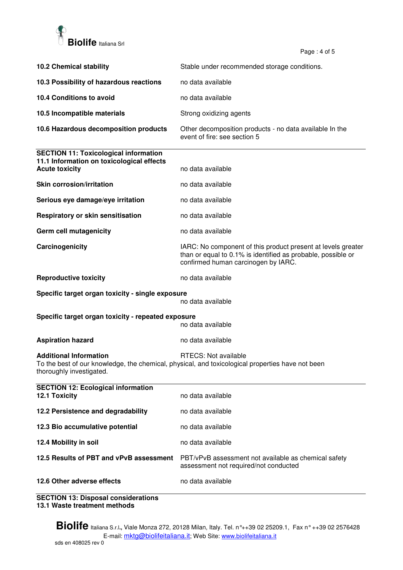

Page  $: 4$  of 5

|                                                                                                                    | ι αγ <del>ο</del> . <del>τ</del> υι υ                                                                                                                               |
|--------------------------------------------------------------------------------------------------------------------|---------------------------------------------------------------------------------------------------------------------------------------------------------------------|
| <b>10.2 Chemical stability</b>                                                                                     | Stable under recommended storage conditions.                                                                                                                        |
| 10.3 Possibility of hazardous reactions                                                                            | no data available                                                                                                                                                   |
| 10.4 Conditions to avoid                                                                                           | no data available                                                                                                                                                   |
| 10.5 Incompatible materials                                                                                        | Strong oxidizing agents                                                                                                                                             |
| 10.6 Hazardous decomposition products                                                                              | Other decomposition products - no data available In the<br>event of fire: see section 5                                                                             |
| <b>SECTION 11: Toxicological information</b><br>11.1 Information on toxicological effects<br><b>Acute toxicity</b> | no data available                                                                                                                                                   |
| <b>Skin corrosion/irritation</b>                                                                                   | no data available                                                                                                                                                   |
| Serious eye damage/eye irritation                                                                                  | no data available                                                                                                                                                   |
| Respiratory or skin sensitisation                                                                                  | no data available                                                                                                                                                   |
| Germ cell mutagenicity                                                                                             | no data available                                                                                                                                                   |
| Carcinogenicity                                                                                                    | IARC: No component of this product present at levels greater<br>than or equal to 0.1% is identified as probable, possible or<br>confirmed human carcinogen by IARC. |
| <b>Reproductive toxicity</b>                                                                                       | no data available                                                                                                                                                   |
| Specific target organ toxicity - single exposure<br>no data available                                              |                                                                                                                                                                     |
| Specific target organ toxicity - repeated exposure<br>no data available                                            |                                                                                                                                                                     |
| <b>Aspiration hazard</b>                                                                                           | no data available                                                                                                                                                   |
| <b>Additional Information</b><br>thoroughly investigated.                                                          | RTECS: Not available<br>To the best of our knowledge, the chemical, physical, and toxicological properties have not been                                            |
| <b>SECTION 12: Ecological information</b><br>12.1 Toxicity                                                         | no data available                                                                                                                                                   |
| 12.2 Persistence and degradability                                                                                 | no data available                                                                                                                                                   |
| 12.3 Bio accumulative potential                                                                                    | no data available                                                                                                                                                   |
| 12.4 Mobility in soil                                                                                              | no data available                                                                                                                                                   |
| 12.5 Results of PBT and vPvB assessment                                                                            | PBT/vPvB assessment not available as chemical safety<br>assessment not required/not conducted                                                                       |
| 12.6 Other adverse effects                                                                                         | no data available                                                                                                                                                   |

**SECTION 13: Disposal considerations 13.1 Waste treatment methods**